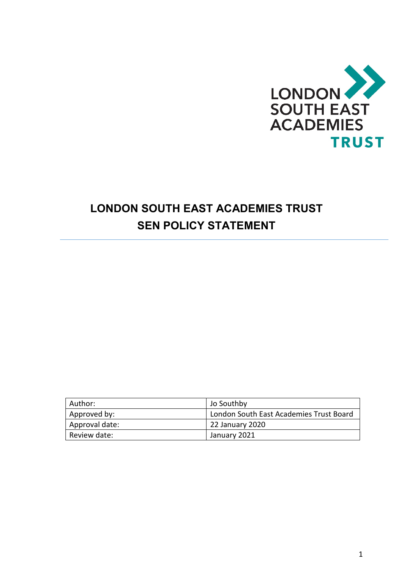

## **LONDON SOUTH EAST ACADEMIES TRUST SEN POLICY STATEMENT**

| Author:        | Jo Southby                              |
|----------------|-----------------------------------------|
| Approved by:   | London South East Academies Trust Board |
| Approval date: | 22 January 2020                         |
| Review date:   | <b>January 2021</b>                     |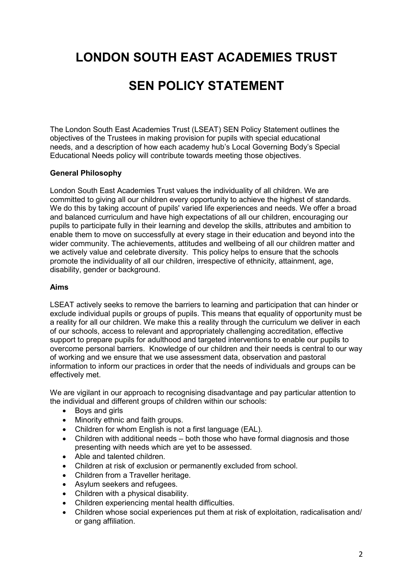# **LONDON SOUTH EAST ACADEMIES TRUST**

### **SEN POLICY STATEMENT**

The London South East Academies Trust (LSEAT) SEN Policy Statement outlines the objectives of the Trustees in making provision for pupils with special educational needs, and a description of how each academy hub's Local Governing Body's Special Educational Needs policy will contribute towards meeting those objectives.

### **General Philosophy**

London South East Academies Trust values the individuality of all children. We are committed to giving all our children every opportunity to achieve the highest of standards. We do this by taking account of pupils' varied life experiences and needs. We offer a broad and balanced curriculum and have high expectations of all our children, encouraging our pupils to participate fully in their learning and develop the skills, attributes and ambition to enable them to move on successfully at every stage in their education and beyond into the wider community. The achievements, attitudes and wellbeing of all our children matter and we actively value and celebrate diversity. This policy helps to ensure that the schools promote the individuality of all our children, irrespective of ethnicity, attainment, age, disability, gender or background.

### **Aims**

LSEAT actively seeks to remove the barriers to learning and participation that can hinder or exclude individual pupils or groups of pupils. This means that equality of opportunity must be a reality for all our children. We make this a reality through the curriculum we deliver in each of our schools, access to relevant and appropriately challenging accreditation, effective support to prepare pupils for adulthood and targeted interventions to enable our pupils to overcome personal barriers. Knowledge of our children and their needs is central to our way of working and we ensure that we use assessment data, observation and pastoral information to inform our practices in order that the needs of individuals and groups can be effectively met.

We are vigilant in our approach to recognising disadvantage and pay particular attention to the individual and different groups of children within our schools:

- Boys and girls
- Minority ethnic and faith groups.
- Children for whom English is not a first language (EAL).
- Children with additional needs both those who have formal diagnosis and those presenting with needs which are yet to be assessed.
- Able and talented children.
- Children at risk of exclusion or permanently excluded from school.
- Children from a Traveller heritage.
- Asylum seekers and refugees.
- Children with a physical disability.
- Children experiencing mental health difficulties.
- Children whose social experiences put them at risk of exploitation, radicalisation and/ or gang affiliation.